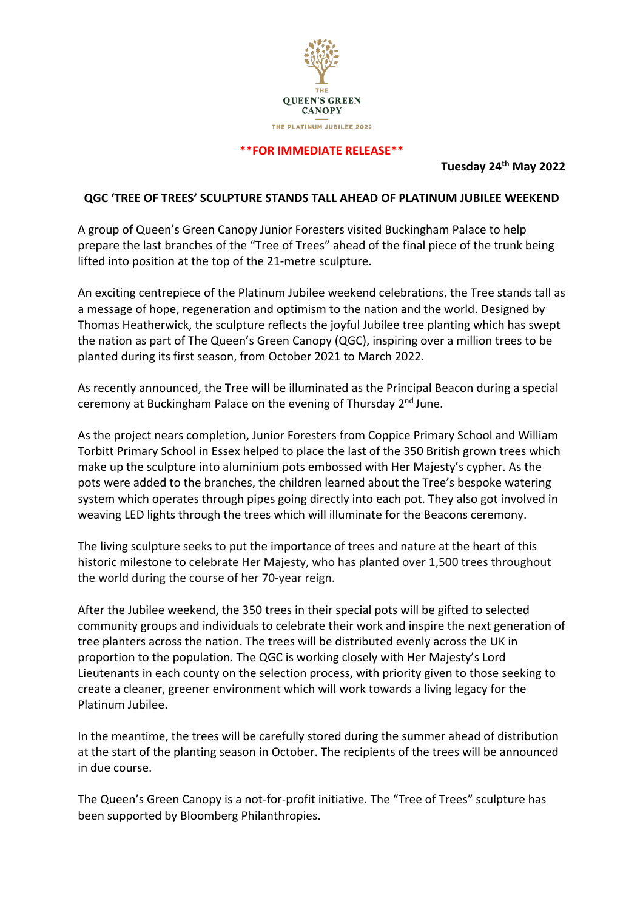

#### **\*\*FOR IMMEDIATE RELEASE\*\***

**Tuesday 24th May 2022**

#### **QGC 'TREE OF TREES' SCULPTURE STANDS TALL AHEAD OF PLATINUM JUBILEE WEEKEND**

A group of Queen's Green Canopy Junior Foresters visited Buckingham Palace to help prepare the last branches of the "Tree of Trees" ahead of the final piece of the trunk being lifted into position at the top of the 21-metre sculpture.

An exciting centrepiece of the Platinum Jubilee weekend celebrations, the Tree stands tall as a message of hope, regeneration and optimism to the nation and the world. Designed by Thomas Heatherwick, the sculpture reflects the joyful Jubilee tree planting which has swept the nation as part of The Queen's Green Canopy (QGC), inspiring over a million trees to be planted during its first season, from October 2021 to March 2022.

As recently announced, the Tree will be illuminated as the Principal Beacon during a special ceremony at Buckingham Palace on the evening of Thursday 2<sup>nd</sup> June.

As the project nears completion, Junior Foresters from Coppice Primary School and William Torbitt Primary School in Essex helped to place the last of the 350 British grown trees which make up the sculpture into aluminium pots embossed with Her Majesty's cypher. As the pots were added to the branches, the children learned about the Tree's bespoke watering system which operates through pipes going directly into each pot. They also got involved in weaving LED lights through the trees which will illuminate for the Beacons ceremony.

The living sculpture seeks to put the importance of trees and nature at the heart of this historic milestone to celebrate Her Majesty, who has planted over 1,500 trees throughout the world during the course of her 70-year reign.

After the Jubilee weekend, the 350 trees in their special pots will be gifted to selected community groups and individuals to celebrate their work and inspire the next generation of tree planters across the nation. The trees will be distributed evenly across the UK in proportion to the population. The QGC is working closely with Her Majesty's Lord Lieutenants in each county on the selection process, with priority given to those seeking to create a cleaner, greener environment which will work towards a living legacy for the Platinum Jubilee.

In the meantime, the trees will be carefully stored during the summer ahead of distribution at the start of the planting season in October. The recipients of the trees will be announced in due course.

The Queen's Green Canopy is a not-for-profit initiative. The "Tree of Trees" sculpture has been supported by Bloomberg Philanthropies.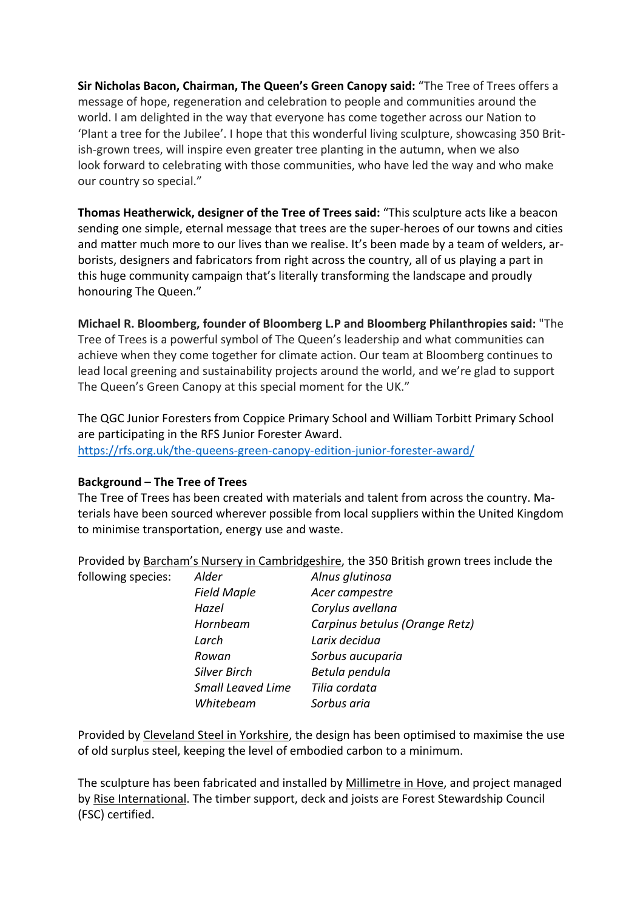**Sir Nicholas Bacon, Chairman, The Queen's Green Canopy said:** "The Tree of Trees offers a message of hope, regeneration and celebration to people and communities around the world. I am delighted in the way that everyone has come together across our Nation to 'Plant a tree for the Jubilee'. I hope that this wonderful living sculpture, showcasing 350 British-grown trees, will inspire even greater tree planting in the autumn, when we also look forward to celebrating with those communities, who have led the way and who make our country so special."

**Thomas Heatherwick, designer of the Tree of Trees said:** "This sculpture acts like a beacon sending one simple, eternal message that trees are the super-heroes of our towns and cities and matter much more to our lives than we realise. It's been made by a team of welders, arborists, designers and fabricators from right across the country, all of us playing a part in this huge community campaign that's literally transforming the landscape and proudly honouring The Queen."

**Michael R. Bloomberg, founder of Bloomberg L.P and Bloomberg Philanthropies said:** "The Tree of Trees is a powerful symbol of The Queen's leadership and what communities can achieve when they come together for climate action. Our team at Bloomberg continues to lead local greening and sustainability projects around the world, and we're glad to support The Queen's Green Canopy at this special moment for the UK."

The QGC Junior Foresters from Coppice Primary School and William Torbitt Primary School are participating in the RFS Junior Forester Award. https://rfs.org.uk/the-queens-green-canopy-edition-junior-forester-award/

# **Background – The Tree of Trees**

The Tree of Trees has been created with materials and talent from across the country. Materials have been sourced wherever possible from local suppliers within the United Kingdom to minimise transportation, energy use and waste.

Provided by Barcham's Nursery in Cambridgeshire, the 350 British grown trees include the

| following species: | Alder                    | Alnus glutinosa                |
|--------------------|--------------------------|--------------------------------|
|                    | <b>Field Maple</b>       | Acer campestre                 |
|                    | Hazel                    | Corylus avellana               |
|                    | Hornbeam                 | Carpinus betulus (Orange Retz) |
|                    | Larch                    | Larix decidua                  |
|                    | Rowan                    | Sorbus aucuparia               |
|                    | <b>Silver Birch</b>      | Betula pendula                 |
|                    | <b>Small Leaved Lime</b> | Tilia cordata                  |
|                    | Whitebeam                | Sorbus aria                    |

Provided by Cleveland Steel in Yorkshire, the design has been optimised to maximise the use of old surplus steel, keeping the level of embodied carbon to a minimum.

The sculpture has been fabricated and installed by Millimetre in Hove, and project managed by Rise International. The timber support, deck and joists are Forest Stewardship Council (FSC) certified.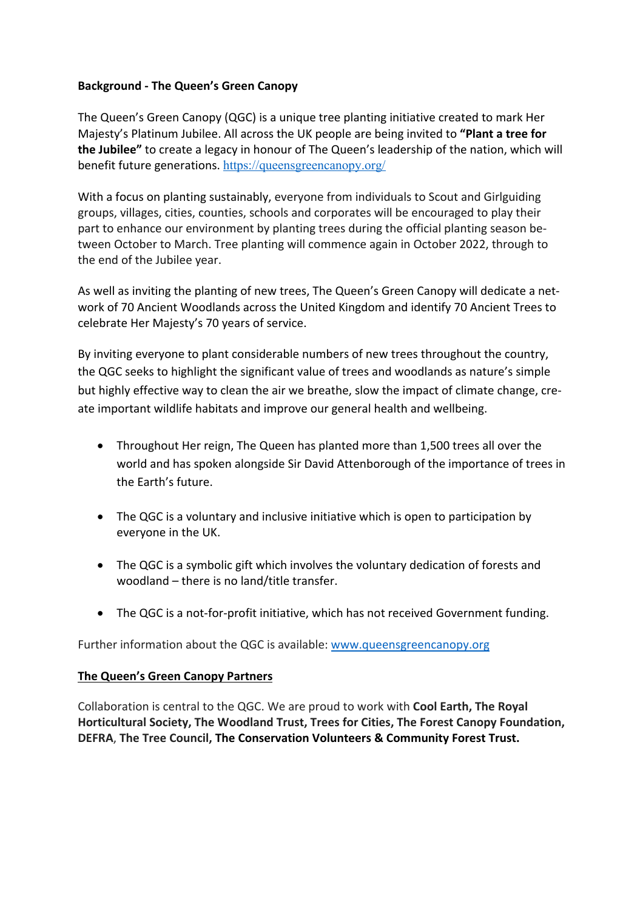# **Background - The Queen's Green Canopy**

The Queen's Green Canopy (QGC) is a unique tree planting initiative created to mark Her Majesty's Platinum Jubilee. All across the UK people are being invited to **"Plant a tree for the Jubilee"** to create a legacy in honour of The Queen's leadership of the nation, which will benefit future generations. https://queensgreencanopy.org/

With a focus on planting sustainably, everyone from individuals to Scout and Girlguiding groups, villages, cities, counties, schools and corporates will be encouraged to play their part to enhance our environment by planting trees during the official planting season between October to March. Tree planting will commence again in October 2022, through to the end of the Jubilee year.

As well as inviting the planting of new trees, The Queen's Green Canopy will dedicate a network of 70 Ancient Woodlands across the United Kingdom and identify 70 Ancient Trees to celebrate Her Majesty's 70 years of service.

By inviting everyone to plant considerable numbers of new trees throughout the country, the QGC seeks to highlight the significant value of trees and woodlands as nature's simple but highly effective way to clean the air we breathe, slow the impact of climate change, create important wildlife habitats and improve our general health and wellbeing.

- Throughout Her reign, The Queen has planted more than 1,500 trees all over the world and has spoken alongside Sir David Attenborough of the importance of trees in the Earth's future.
- The QGC is a voluntary and inclusive initiative which is open to participation by everyone in the UK.
- The QGC is a symbolic gift which involves the voluntary dedication of forests and woodland – there is no land/title transfer.
- The QGC is a not-for-profit initiative, which has not received Government funding.

Further information about the QGC is available: www.queensgreencanopy.org

# **The Queen's Green Canopy Partners**

Collaboration is central to the QGC. We are proud to work with **Cool Earth, The Royal Horticultural Society, The Woodland Trust, Trees for Cities, The Forest Canopy Foundation, DEFRA**, **The Tree Council, The Conservation Volunteers & Community Forest Trust.**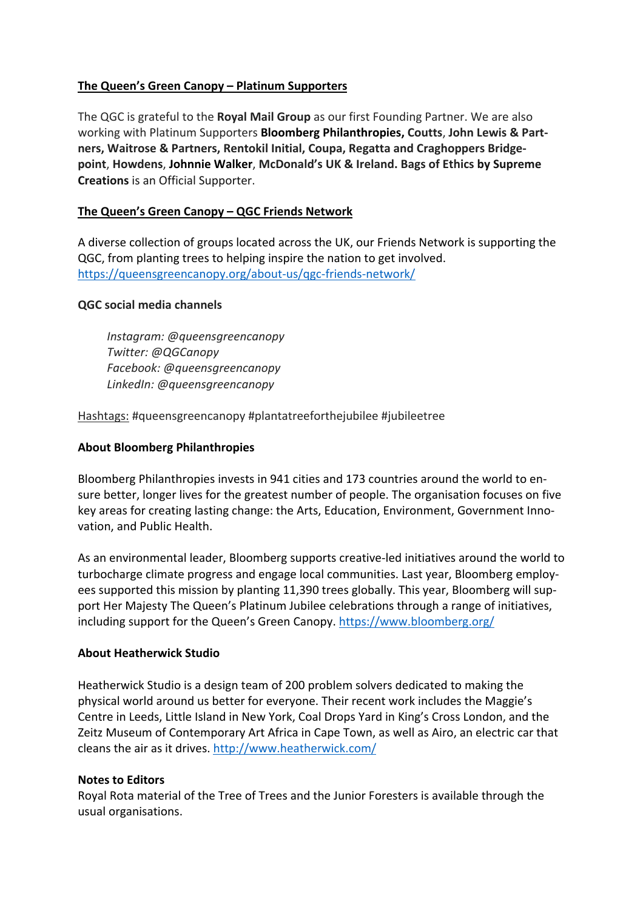# **The Queen's Green Canopy – Platinum Supporters**

The QGC is grateful to the **Royal Mail Group** as our first Founding Partner. We are also working with Platinum Supporters **Bloomberg Philanthropies, Coutts**, **John Lewis & Partners, Waitrose & Partners, Rentokil Initial, Coupa, Regatta and Craghoppers Bridgepoint**, **Howdens**, **Johnnie Walker**, **McDonald's UK & Ireland. Bags of Ethics by Supreme Creations** is an Official Supporter.

# **The Queen's Green Canopy – QGC Friends Network**

A diverse collection of groups located across the UK, our Friends Network is supporting the QGC, from planting trees to helping inspire the nation to get involved. https://queensgreencanopy.org/about-us/qgc-friends-network/

# **QGC social media channels**

*Instagram: @queensgreencanopy Twitter: @QGCanopy Facebook: @queensgreencanopy LinkedIn: @queensgreencanopy* 

Hashtags: #queensgreencanopy #plantatreeforthejubilee #jubileetree

# **About Bloomberg Philanthropies**

Bloomberg Philanthropies invests in 941 cities and 173 countries around the world to ensure better, longer lives for the greatest number of people. The organisation focuses on five key areas for creating lasting change: the Arts, Education, Environment, Government Innovation, and Public Health.

As an environmental leader, Bloomberg supports creative-led initiatives around the world to turbocharge climate progress and engage local communities. Last year, Bloomberg employees supported this mission by planting 11,390 trees globally. This year, Bloomberg will support Her Majesty The Queen's Platinum Jubilee celebrations through a range of initiatives, including support for the Queen's Green Canopy. https://www.bloomberg.org/

# **About Heatherwick Studio**

Heatherwick Studio is a design team of 200 problem solvers dedicated to making the physical world around us better for everyone. Their recent work includes the Maggie's Centre in Leeds, Little Island in New York, Coal Drops Yard in King's Cross London, and the Zeitz Museum of Contemporary Art Africa in Cape Town, as well as Airo, an electric car that cleans the air as it drives. http://www.heatherwick.com/

# **Notes to Editors**

Royal Rota material of the Tree of Trees and the Junior Foresters is available through the usual organisations.